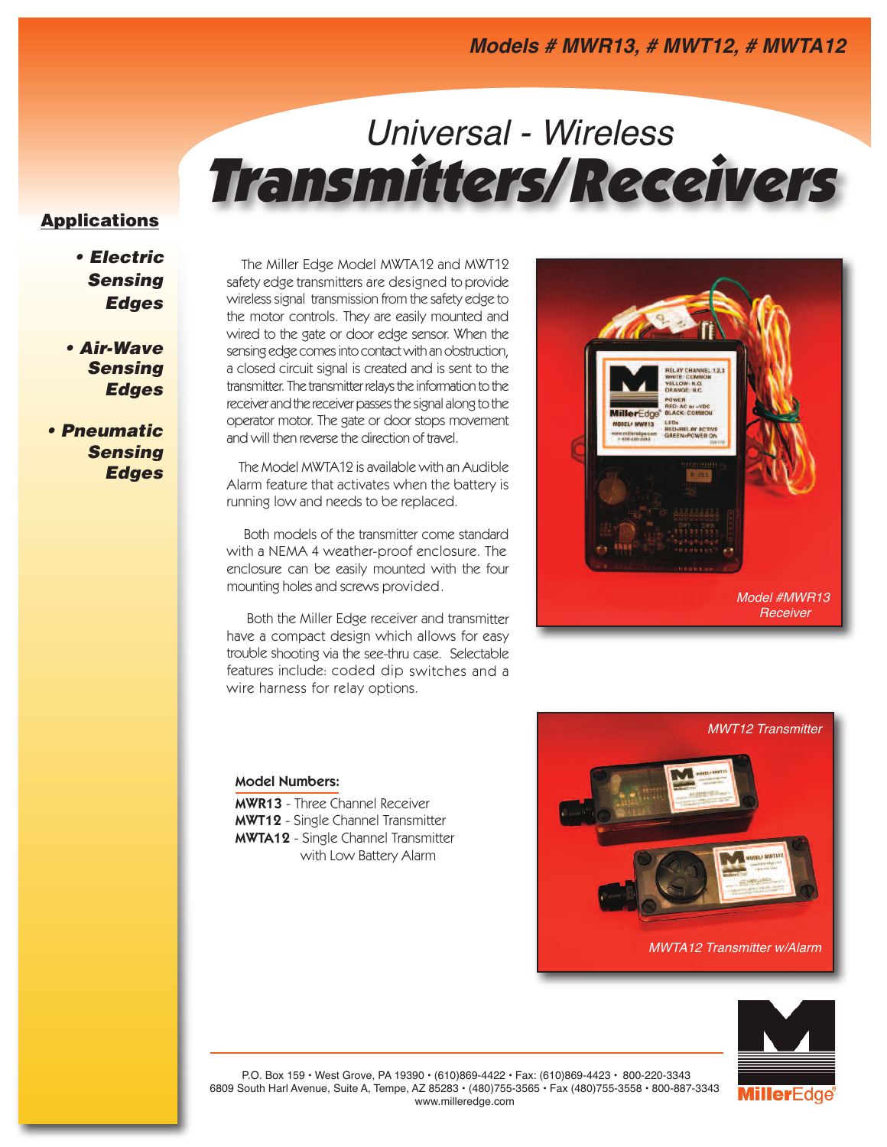# *Universal - Wireless* **Transmitters/Receivers**

### **Applications**

*• Electric Sensing Edges*

*• Air-Wave Sensing Edges*

*• Pneumatic Sensing Edges*

The Miller Edge Model MWTA12 and MWT12 safety edge transmitters are designed to provide wireless signal transmission from the safety edge to the motor controls. They are easily mounted and wired to the gate or door edge sensor. When the sensing edge comes into contact with an obstruction, a closed circuit signal is created and is sent to the transmitter. The transmitter relays the information to the receiver and the receiver passes the signal along to the operator motor. The gate or door stops movement and will then reverse the direction of travel.

The Model MWTA12 is available with an Audible Alarm feature that activates when the battery is running low and needs to be replaced.

Both models of the transmitter come standard with a NEMA 4 weather-proof enclosure. The enclosure can be easily mounted with the four mounting holes and screws provided.

Both the Miller Edge receiver and transmitter have <sup>a</sup> compact design which allows for easy trouble shooting via the see-thru case. Selectable features include: coded dip switches and <sup>a</sup> wire harness for relay options.



### **Model Numbers:**

**MWR13** - Three Channel Receiver **MWT12** - Single Channel Transmitter **MWTA12** - Single Channel Transmitter with Low Battery Alarm